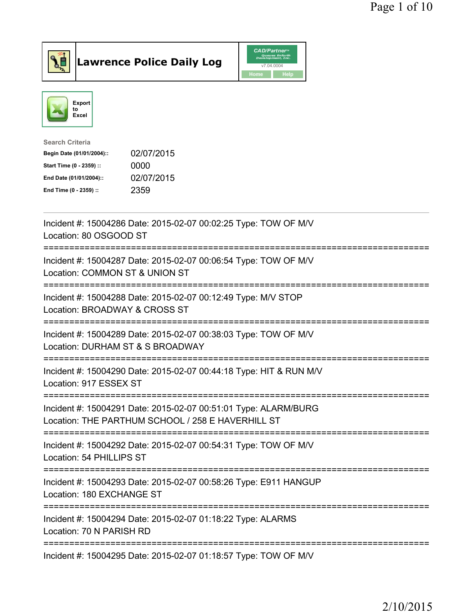



| <b>Search Criteria</b>    |            |
|---------------------------|------------|
| Begin Date (01/01/2004):: | 02/07/2015 |
| Start Time (0 - 2359) ::  | 0000       |
| End Date (01/01/2004)::   | 02/07/2015 |
| End Time (0 - 2359) ::    | 2359       |
|                           |            |

| Incident #: 15004286 Date: 2015-02-07 00:02:25 Type: TOW OF M/V<br>Location: 80 OSGOOD ST                             |
|-----------------------------------------------------------------------------------------------------------------------|
| Incident #: 15004287 Date: 2015-02-07 00:06:54 Type: TOW OF M/V<br>Location: COMMON ST & UNION ST                     |
| Incident #: 15004288 Date: 2015-02-07 00:12:49 Type: M/V STOP<br>Location: BROADWAY & CROSS ST                        |
| Incident #: 15004289 Date: 2015-02-07 00:38:03 Type: TOW OF M/V<br>Location: DURHAM ST & S BROADWAY                   |
| Incident #: 15004290 Date: 2015-02-07 00:44:18 Type: HIT & RUN M/V<br>Location: 917 ESSEX ST                          |
| Incident #: 15004291 Date: 2015-02-07 00:51:01 Type: ALARM/BURG<br>Location: THE PARTHUM SCHOOL / 258 E HAVERHILL ST  |
| Incident #: 15004292 Date: 2015-02-07 00:54:31 Type: TOW OF M/V<br>Location: 54 PHILLIPS ST<br>---------------------- |
| Incident #: 15004293 Date: 2015-02-07 00:58:26 Type: E911 HANGUP<br>Location: 180 EXCHANGE ST                         |
| Incident #: 15004294 Date: 2015-02-07 01:18:22 Type: ALARMS<br>Location: 70 N PARISH RD                               |
| Incident #: 15004295 Date: 2015-02-07 01:18:57 Type: TOW OF M/V                                                       |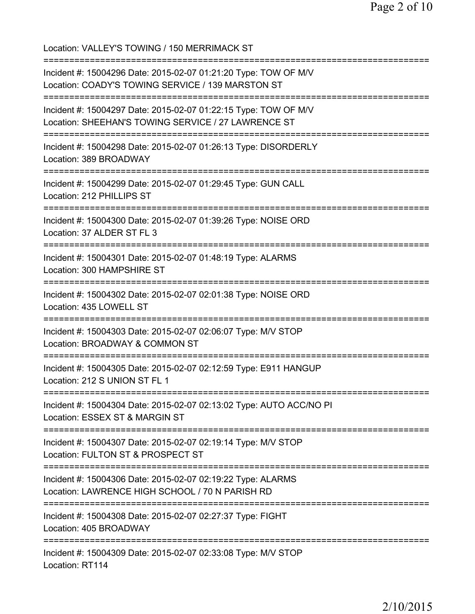Location: VALLEY'S TOWING / 150 MERRIMACK ST =========================================================================== Incident #: 15004296 Date: 2015-02-07 01:21:20 Type: TOW OF M/V Location: COADY'S TOWING SERVICE / 139 MARSTON ST =========================================================================== Incident #: 15004297 Date: 2015-02-07 01:22:15 Type: TOW OF M/V Location: SHEEHAN'S TOWING SERVICE / 27 LAWRENCE ST =========================================================================== Incident #: 15004298 Date: 2015-02-07 01:26:13 Type: DISORDERLY Location: 389 BROADWAY =========================================================================== Incident #: 15004299 Date: 2015-02-07 01:29:45 Type: GUN CALL Location: 212 PHILLIPS ST =========================================================================== Incident #: 15004300 Date: 2015-02-07 01:39:26 Type: NOISE ORD Location: 37 ALDER ST FL 3 =========================================================================== Incident #: 15004301 Date: 2015-02-07 01:48:19 Type: ALARMS Location: 300 HAMPSHIRE ST =========================================================================== Incident #: 15004302 Date: 2015-02-07 02:01:38 Type: NOISE ORD Location: 435 LOWELL ST =========================================================================== Incident #: 15004303 Date: 2015-02-07 02:06:07 Type: M/V STOP Location: BROADWAY & COMMON ST =========================================================================== Incident #: 15004305 Date: 2015-02-07 02:12:59 Type: E911 HANGUP Location: 212 S UNION ST FL 1 =========================================================================== Incident #: 15004304 Date: 2015-02-07 02:13:02 Type: AUTO ACC/NO PI Location: ESSEX ST & MARGIN ST =========================================================================== Incident #: 15004307 Date: 2015-02-07 02:19:14 Type: M/V STOP Location: FULTON ST & PROSPECT ST =========================================================================== Incident #: 15004306 Date: 2015-02-07 02:19:22 Type: ALARMS Location: LAWRENCE HIGH SCHOOL / 70 N PARISH RD =========================================================================== Incident #: 15004308 Date: 2015-02-07 02:27:37 Type: FIGHT Location: 405 BROADWAY =========================================================================== Incident #: 15004309 Date: 2015-02-07 02:33:08 Type: M/V STOP Location: RT114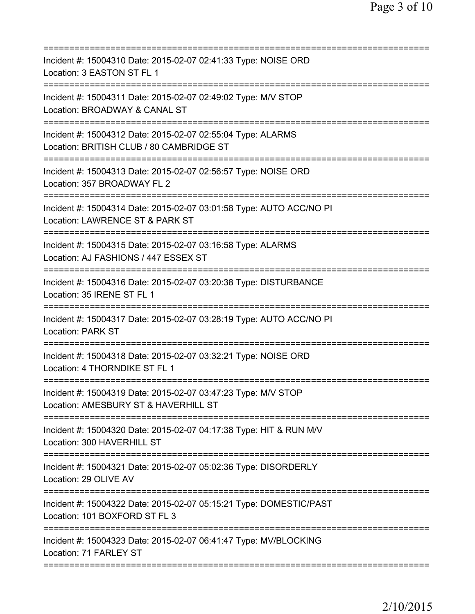| Incident #: 15004310 Date: 2015-02-07 02:41:33 Type: NOISE ORD<br>Location: 3 EASTON ST FL 1                                       |
|------------------------------------------------------------------------------------------------------------------------------------|
| Incident #: 15004311 Date: 2015-02-07 02:49:02 Type: M/V STOP<br>Location: BROADWAY & CANAL ST                                     |
| Incident #: 15004312 Date: 2015-02-07 02:55:04 Type: ALARMS<br>Location: BRITISH CLUB / 80 CAMBRIDGE ST                            |
| Incident #: 15004313 Date: 2015-02-07 02:56:57 Type: NOISE ORD<br>Location: 357 BROADWAY FL 2                                      |
| Incident #: 15004314 Date: 2015-02-07 03:01:58 Type: AUTO ACC/NO PI<br>Location: LAWRENCE ST & PARK ST                             |
| Incident #: 15004315 Date: 2015-02-07 03:16:58 Type: ALARMS<br>Location: AJ FASHIONS / 447 ESSEX ST<br>=========================== |
| Incident #: 15004316 Date: 2015-02-07 03:20:38 Type: DISTURBANCE<br>Location: 35 IRENE ST FL 1                                     |
| Incident #: 15004317 Date: 2015-02-07 03:28:19 Type: AUTO ACC/NO PI<br><b>Location: PARK ST</b><br>---------------                 |
| Incident #: 15004318 Date: 2015-02-07 03:32:21 Type: NOISE ORD<br>Location: 4 THORNDIKE ST FL 1                                    |
| Incident #: 15004319 Date: 2015-02-07 03:47:23 Type: M/V STOP<br>Location: AMESBURY ST & HAVERHILL ST                              |
| Incident #: 15004320 Date: 2015-02-07 04:17:38 Type: HIT & RUN M/V<br>Location: 300 HAVERHILL ST                                   |
| Incident #: 15004321 Date: 2015-02-07 05:02:36 Type: DISORDERLY<br>Location: 29 OLIVE AV                                           |
| Incident #: 15004322 Date: 2015-02-07 05:15:21 Type: DOMESTIC/PAST<br>Location: 101 BOXFORD ST FL 3                                |
| Incident #: 15004323 Date: 2015-02-07 06:41:47 Type: MV/BLOCKING<br>Location: 71 FARLEY ST                                         |
|                                                                                                                                    |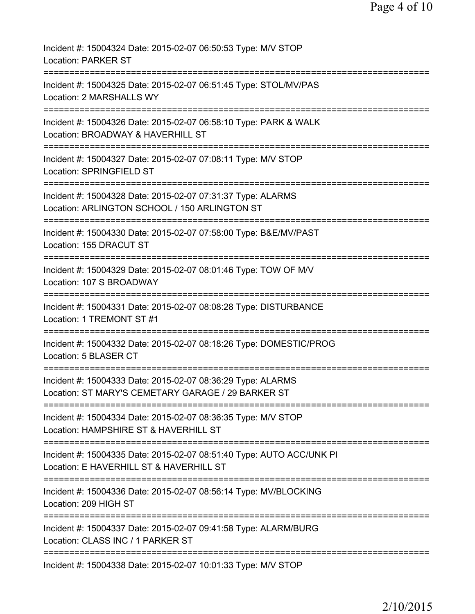| Incident #: 15004324 Date: 2015-02-07 06:50:53 Type: M/V STOP<br><b>Location: PARKER ST</b>                                            |
|----------------------------------------------------------------------------------------------------------------------------------------|
| Incident #: 15004325 Date: 2015-02-07 06:51:45 Type: STOL/MV/PAS<br>Location: 2 MARSHALLS WY                                           |
| Incident #: 15004326 Date: 2015-02-07 06:58:10 Type: PARK & WALK<br>Location: BROADWAY & HAVERHILL ST                                  |
| Incident #: 15004327 Date: 2015-02-07 07:08:11 Type: M/V STOP<br>Location: SPRINGFIELD ST                                              |
| Incident #: 15004328 Date: 2015-02-07 07:31:37 Type: ALARMS<br>Location: ARLINGTON SCHOOL / 150 ARLINGTON ST                           |
| Incident #: 15004330 Date: 2015-02-07 07:58:00 Type: B&E/MV/PAST<br>Location: 155 DRACUT ST                                            |
| Incident #: 15004329 Date: 2015-02-07 08:01:46 Type: TOW OF M/V<br>Location: 107 S BROADWAY                                            |
| Incident #: 15004331 Date: 2015-02-07 08:08:28 Type: DISTURBANCE<br>Location: 1 TREMONT ST #1                                          |
| Incident #: 15004332 Date: 2015-02-07 08:18:26 Type: DOMESTIC/PROG<br>Location: 5 BLASER CT                                            |
| Incident #: 15004333 Date: 2015-02-07 08:36:29 Type: ALARMS<br>Location: ST MARY'S CEMETARY GARAGE / 29 BARKER ST                      |
| ============================<br>Incident #: 15004334 Date: 2015-02-07 08:36:35 Type: M/V STOP<br>Location: HAMPSHIRE ST & HAVERHILL ST |
| Incident #: 15004335 Date: 2015-02-07 08:51:40 Type: AUTO ACC/UNK PI<br>Location: E HAVERHILL ST & HAVERHILL ST                        |
| ====================================<br>Incident #: 15004336 Date: 2015-02-07 08:56:14 Type: MV/BLOCKING<br>Location: 209 HIGH ST      |
| Incident #: 15004337 Date: 2015-02-07 09:41:58 Type: ALARM/BURG<br>Location: CLASS INC / 1 PARKER ST                                   |
| Incident #: 15004338 Date: 2015-02-07 10:01:33 Type: M/V STOP                                                                          |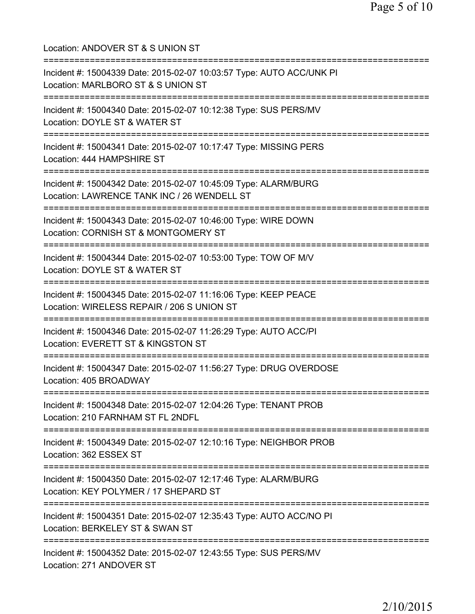Location: ANDOVER ST & S UNION ST =========================================================================== Incident #: 15004339 Date: 2015-02-07 10:03:57 Type: AUTO ACC/UNK PI Location: MARLBORO ST & S UNION ST =========================================================================== Incident #: 15004340 Date: 2015-02-07 10:12:38 Type: SUS PERS/MV Location: DOYLE ST & WATER ST =========================================================================== Incident #: 15004341 Date: 2015-02-07 10:17:47 Type: MISSING PERS Location: 444 HAMPSHIRE ST =========================================================================== Incident #: 15004342 Date: 2015-02-07 10:45:09 Type: ALARM/BURG Location: LAWRENCE TANK INC / 26 WENDELL ST =========================================================================== Incident #: 15004343 Date: 2015-02-07 10:46:00 Type: WIRE DOWN Location: CORNISH ST & MONTGOMERY ST =========================================================================== Incident #: 15004344 Date: 2015-02-07 10:53:00 Type: TOW OF M/V Location: DOYLE ST & WATER ST =========================================================================== Incident #: 15004345 Date: 2015-02-07 11:16:06 Type: KEEP PEACE Location: WIRELESS REPAIR / 206 S UNION ST =========================================================================== Incident #: 15004346 Date: 2015-02-07 11:26:29 Type: AUTO ACC/PI Location: EVERETT ST & KINGSTON ST =========================================================================== Incident #: 15004347 Date: 2015-02-07 11:56:27 Type: DRUG OVERDOSE Location: 405 BROADWAY =========================================================================== Incident #: 15004348 Date: 2015-02-07 12:04:26 Type: TENANT PROB Location: 210 FARNHAM ST FL 2NDFL =========================================================================== Incident #: 15004349 Date: 2015-02-07 12:10:16 Type: NEIGHBOR PROB Location: 362 ESSEX ST =========================================================================== Incident #: 15004350 Date: 2015-02-07 12:17:46 Type: ALARM/BURG Location: KEY POLYMER / 17 SHEPARD ST =========================================================================== Incident #: 15004351 Date: 2015-02-07 12:35:43 Type: AUTO ACC/NO PI Location: BERKELEY ST & SWAN ST =========================================================================== Incident #: 15004352 Date: 2015-02-07 12:43:55 Type: SUS PERS/MV Location: 271 ANDOVER ST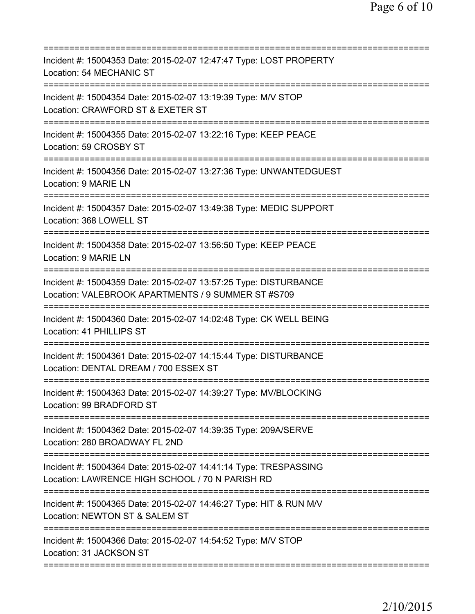| Incident #: 15004353 Date: 2015-02-07 12:47:47 Type: LOST PROPERTY<br>Location: 54 MECHANIC ST                                                         |
|--------------------------------------------------------------------------------------------------------------------------------------------------------|
| Incident #: 15004354 Date: 2015-02-07 13:19:39 Type: M/V STOP<br>Location: CRAWFORD ST & EXETER ST                                                     |
| Incident #: 15004355 Date: 2015-02-07 13:22:16 Type: KEEP PEACE<br>Location: 59 CROSBY ST                                                              |
| Incident #: 15004356 Date: 2015-02-07 13:27:36 Type: UNWANTEDGUEST<br>Location: 9 MARIE LN<br>===============                                          |
| Incident #: 15004357 Date: 2015-02-07 13:49:38 Type: MEDIC SUPPORT<br>Location: 368 LOWELL ST                                                          |
| Incident #: 15004358 Date: 2015-02-07 13:56:50 Type: KEEP PEACE<br>Location: 9 MARIE LN                                                                |
| Incident #: 15004359 Date: 2015-02-07 13:57:25 Type: DISTURBANCE<br>Location: VALEBROOK APARTMENTS / 9 SUMMER ST #S709<br>============================ |
| Incident #: 15004360 Date: 2015-02-07 14:02:48 Type: CK WELL BEING<br>Location: 41 PHILLIPS ST                                                         |
| Incident #: 15004361 Date: 2015-02-07 14:15:44 Type: DISTURBANCE<br>Location: DENTAL DREAM / 700 ESSEX ST                                              |
| Incident #: 15004363 Date: 2015-02-07 14:39:27 Type: MV/BLOCKING<br>Location: 99 BRADFORD ST                                                           |
| Incident #: 15004362 Date: 2015-02-07 14:39:35 Type: 209A/SERVE<br>Location: 280 BROADWAY FL 2ND                                                       |
| Incident #: 15004364 Date: 2015-02-07 14:41:14 Type: TRESPASSING<br>Location: LAWRENCE HIGH SCHOOL / 70 N PARISH RD                                    |
| Incident #: 15004365 Date: 2015-02-07 14:46:27 Type: HIT & RUN M/V<br>Location: NEWTON ST & SALEM ST                                                   |
| Incident #: 15004366 Date: 2015-02-07 14:54:52 Type: M/V STOP<br>Location: 31 JACKSON ST                                                               |
|                                                                                                                                                        |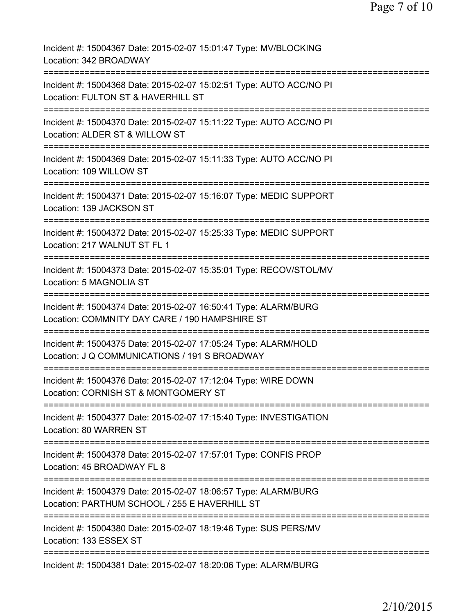Incident #: 15004367 Date: 2015-02-07 15:01:47 Type: MV/BLOCKING Location: 342 BROADWAY ========================= Incident #: 15004368 Date: 2015-02-07 15:02:51 Type: AUTO ACC/NO PI Location: FULTON ST & HAVERHILL ST =========================================================================== Incident #: 15004370 Date: 2015-02-07 15:11:22 Type: AUTO ACC/NO PI Location: ALDER ST & WILLOW ST =========================================================================== Incident #: 15004369 Date: 2015-02-07 15:11:33 Type: AUTO ACC/NO PI Location: 109 WILLOW ST =========================================================================== Incident #: 15004371 Date: 2015-02-07 15:16:07 Type: MEDIC SUPPORT Location: 139 JACKSON ST =========================================================================== Incident #: 15004372 Date: 2015-02-07 15:25:33 Type: MEDIC SUPPORT Location: 217 WALNUT ST FL 1 =========================================================================== Incident #: 15004373 Date: 2015-02-07 15:35:01 Type: RECOV/STOL/MV Location: 5 MAGNOLIA ST =========================================================================== Incident #: 15004374 Date: 2015-02-07 16:50:41 Type: ALARM/BURG Location: COMMNITY DAY CARE / 190 HAMPSHIRE ST =========================================================================== Incident #: 15004375 Date: 2015-02-07 17:05:24 Type: ALARM/HOLD Location: J Q COMMUNICATIONS / 191 S BROADWAY =========================================================================== Incident #: 15004376 Date: 2015-02-07 17:12:04 Type: WIRE DOWN Location: CORNISH ST & MONTGOMERY ST =========================================================================== Incident #: 15004377 Date: 2015-02-07 17:15:40 Type: INVESTIGATION Location: 80 WARREN ST =========================================================================== Incident #: 15004378 Date: 2015-02-07 17:57:01 Type: CONFIS PROP Location: 45 BROADWAY FL 8 =========================================================================== Incident #: 15004379 Date: 2015-02-07 18:06:57 Type: ALARM/BURG Location: PARTHUM SCHOOL / 255 E HAVERHILL ST =========================================================================== Incident #: 15004380 Date: 2015-02-07 18:19:46 Type: SUS PERS/MV Location: 133 ESSEX ST =========================================================================== Incident #: 15004381 Date: 2015-02-07 18:20:06 Type: ALARM/BURG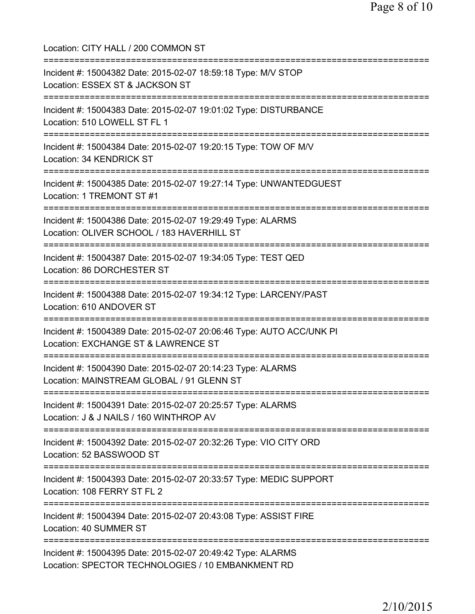Location: CITY HALL / 200 COMMON ST =========================================================================== Incident #: 15004382 Date: 2015-02-07 18:59:18 Type: M/V STOP Location: ESSEX ST & JACKSON ST =========================================================================== Incident #: 15004383 Date: 2015-02-07 19:01:02 Type: DISTURBANCE Location: 510 LOWELL ST FL 1 =========================================================================== Incident #: 15004384 Date: 2015-02-07 19:20:15 Type: TOW OF M/V Location: 34 KENDRICK ST =========================================================================== Incident #: 15004385 Date: 2015-02-07 19:27:14 Type: UNWANTEDGUEST Location: 1 TREMONT ST #1 =========================================================================== Incident #: 15004386 Date: 2015-02-07 19:29:49 Type: ALARMS Location: OLIVER SCHOOL / 183 HAVERHILL ST =========================================================================== Incident #: 15004387 Date: 2015-02-07 19:34:05 Type: TEST QED Location: 86 DORCHESTER ST =========================================================================== Incident #: 15004388 Date: 2015-02-07 19:34:12 Type: LARCENY/PAST Location: 610 ANDOVER ST =========================================================================== Incident #: 15004389 Date: 2015-02-07 20:06:46 Type: AUTO ACC/UNK PI Location: EXCHANGE ST & LAWRENCE ST =========================================================================== Incident #: 15004390 Date: 2015-02-07 20:14:23 Type: ALARMS Location: MAINSTREAM GLOBAL / 91 GLENN ST =========================================================================== Incident #: 15004391 Date: 2015-02-07 20:25:57 Type: ALARMS Location: J & J NAILS / 160 WINTHROP AV =========================================================================== Incident #: 15004392 Date: 2015-02-07 20:32:26 Type: VIO CITY ORD Location: 52 BASSWOOD ST =========================================================================== Incident #: 15004393 Date: 2015-02-07 20:33:57 Type: MEDIC SUPPORT Location: 108 FERRY ST FL 2 =========================================================================== Incident #: 15004394 Date: 2015-02-07 20:43:08 Type: ASSIST FIRE Location: 40 SUMMER ST =========================================================================== Incident #: 15004395 Date: 2015-02-07 20:49:42 Type: ALARMS Location: SPECTOR TECHNOLOGIES / 10 EMBANKMENT RD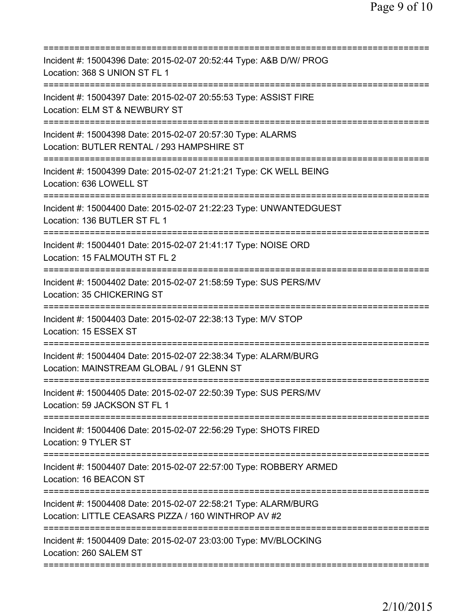| Incident #: 15004396 Date: 2015-02-07 20:52:44 Type: A&B D/W/ PROG<br>Location: 368 S UNION ST FL 1                    |
|------------------------------------------------------------------------------------------------------------------------|
| Incident #: 15004397 Date: 2015-02-07 20:55:53 Type: ASSIST FIRE<br>Location: ELM ST & NEWBURY ST                      |
| Incident #: 15004398 Date: 2015-02-07 20:57:30 Type: ALARMS<br>Location: BUTLER RENTAL / 293 HAMPSHIRE ST              |
| Incident #: 15004399 Date: 2015-02-07 21:21:21 Type: CK WELL BEING<br>Location: 636 LOWELL ST                          |
| Incident #: 15004400 Date: 2015-02-07 21:22:23 Type: UNWANTEDGUEST<br>Location: 136 BUTLER ST FL 1                     |
| Incident #: 15004401 Date: 2015-02-07 21:41:17 Type: NOISE ORD<br>Location: 15 FALMOUTH ST FL 2                        |
| Incident #: 15004402 Date: 2015-02-07 21:58:59 Type: SUS PERS/MV<br>Location: 35 CHICKERING ST<br>===========          |
| Incident #: 15004403 Date: 2015-02-07 22:38:13 Type: M/V STOP<br>Location: 15 ESSEX ST                                 |
| Incident #: 15004404 Date: 2015-02-07 22:38:34 Type: ALARM/BURG<br>Location: MAINSTREAM GLOBAL / 91 GLENN ST           |
| Incident #: 15004405 Date: 2015-02-07 22:50:39 Type: SUS PERS/MV<br>Location: 59 JACKSON ST FL 1                       |
| Incident #: 15004406 Date: 2015-02-07 22:56:29 Type: SHOTS FIRED<br>Location: 9 TYLER ST                               |
| Incident #: 15004407 Date: 2015-02-07 22:57:00 Type: ROBBERY ARMED<br>Location: 16 BEACON ST                           |
| Incident #: 15004408 Date: 2015-02-07 22:58:21 Type: ALARM/BURG<br>Location: LITTLE CEASARS PIZZA / 160 WINTHROP AV #2 |
| Incident #: 15004409 Date: 2015-02-07 23:03:00 Type: MV/BLOCKING<br>Location: 260 SALEM ST                             |
|                                                                                                                        |